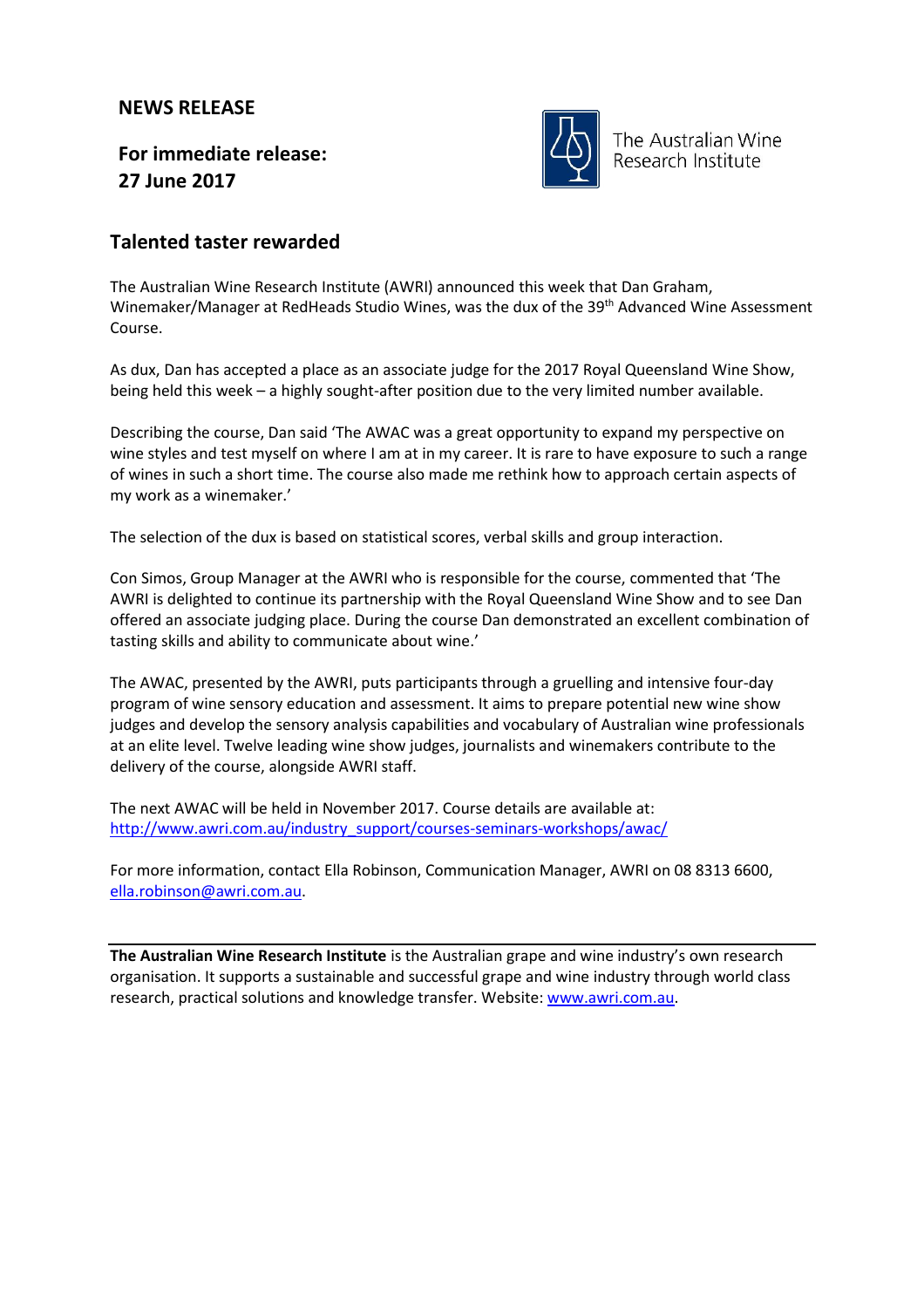## **NEWS RELEASE**

**For immediate release: 27 June 2017**



The Australian Wine Research Institute

## **Talented taster rewarded**

The Australian Wine Research Institute (AWRI) announced this week that Dan Graham, Winemaker/Manager at RedHeads Studio Wines, was the dux of the 39<sup>th</sup> Advanced Wine Assessment Course.

As dux, Dan has accepted a place as an associate judge for the 2017 Royal Queensland Wine Show, being held this week – a highly sought-after position due to the very limited number available.

Describing the course, Dan said 'The AWAC was a great opportunity to expand my perspective on wine styles and test myself on where I am at in my career. It is rare to have exposure to such a range of wines in such a short time. The course also made me rethink how to approach certain aspects of my work as a winemaker.'

The selection of the dux is based on statistical scores, verbal skills and group interaction.

Con Simos, Group Manager at the AWRI who is responsible for the course, commented that 'The AWRI is delighted to continue its partnership with the Royal Queensland Wine Show and to see Dan offered an associate judging place. During the course Dan demonstrated an excellent combination of tasting skills and ability to communicate about wine.'

The AWAC, presented by the AWRI, puts participants through a gruelling and intensive four-day program of wine sensory education and assessment. It aims to prepare potential new wine show judges and develop the sensory analysis capabilities and vocabulary of Australian wine professionals at an elite level. Twelve leading wine show judges, journalists and winemakers contribute to the delivery of the course, alongside AWRI staff.

The next AWAC will be held in November 2017. Course details are available at: [http://www.awri.com.au/industry\\_support/courses-seminars-workshops/awac/](http://www.awri.com.au/industry_support/courses-seminars-workshops/awac/)

For more information, contact Ella Robinson, Communication Manager, AWRI on 08 8313 6600, [ella.robinson@awri.com.au.](mailto:ella.robinson@awri.com.au)

**The Australian Wine Research Institute** is the Australian grape and wine industry's own research organisation. It supports a sustainable and successful grape and wine industry through world class research, practical solutions and knowledge transfer. Website[: www.awri.com.au.](http://www.awri.com.au/)